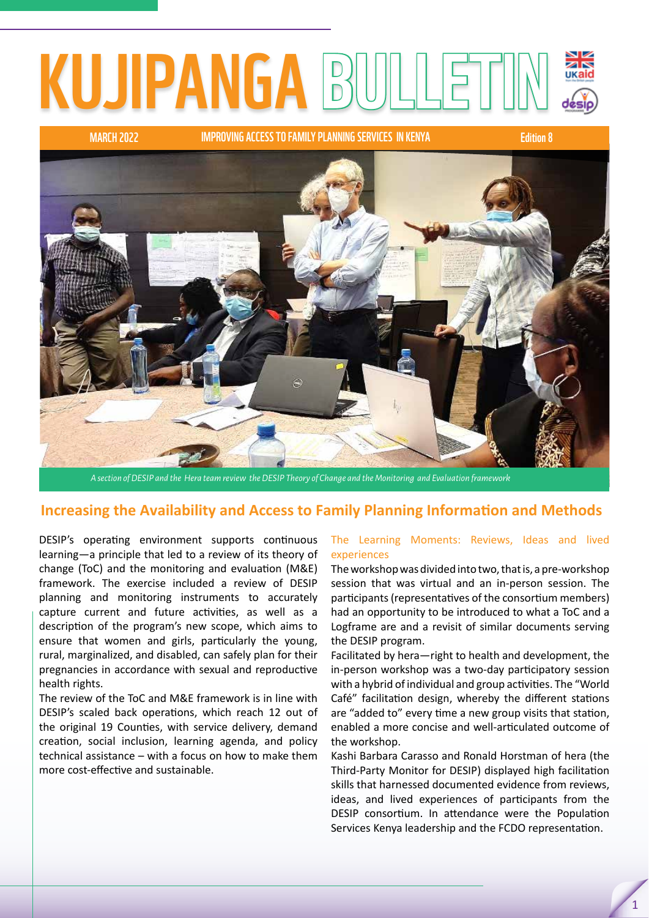# KUJIPANGA B

MARCH 2022 Edition 8 IMPROVING ACCESS TO FAMILY PLANNING SERVICES IN KENYA



*A section of DESIP and the Hera team review the DESIP Theory of Change and the Monitoring and Evaluation framework* 

### **Increasing the Availability and Access to Family Planning Information and Methods**

DESIP's operating environment supports continuous learning—a principle that led to a review of its theory of change (ToC) and the monitoring and evaluation (M&E) framework. The exercise included a review of DESIP planning and monitoring instruments to accurately capture current and future activities, as well as a description of the program's new scope, which aims to ensure that women and girls, particularly the young, rural, marginalized, and disabled, can safely plan for their pregnancies in accordance with sexual and reproductive health rights.

The review of the ToC and M&E framework is in line with DESIP's scaled back operations, which reach 12 out of the original 19 Counties, with service delivery, demand creation, social inclusion, learning agenda, and policy technical assistance – with a focus on how to make them more cost-effective and sustainable.

#### The Learning Moments: Reviews, Ideas and lived experiences

The workshop was divided into two, that is, a pre-workshop session that was virtual and an in-person session. The participants (representatives of the consortium members) had an opportunity to be introduced to what a ToC and a Logframe are and a revisit of similar documents serving the DESIP program.

Facilitated by hera—right to health and development, the in-person workshop was a two-day participatory session with a hybrid of individual and group activities. The "World Café" facilitation design, whereby the different stations are "added to" every time a new group visits that station, enabled a more concise and well-articulated outcome of the workshop.

Kashi Barbara Carasso and Ronald Horstman of hera (the Third-Party Monitor for DESIP) displayed high facilitation skills that harnessed documented evidence from reviews, ideas, and lived experiences of participants from the DESIP consortium. In attendance were the Population Services Kenya leadership and the FCDO representation.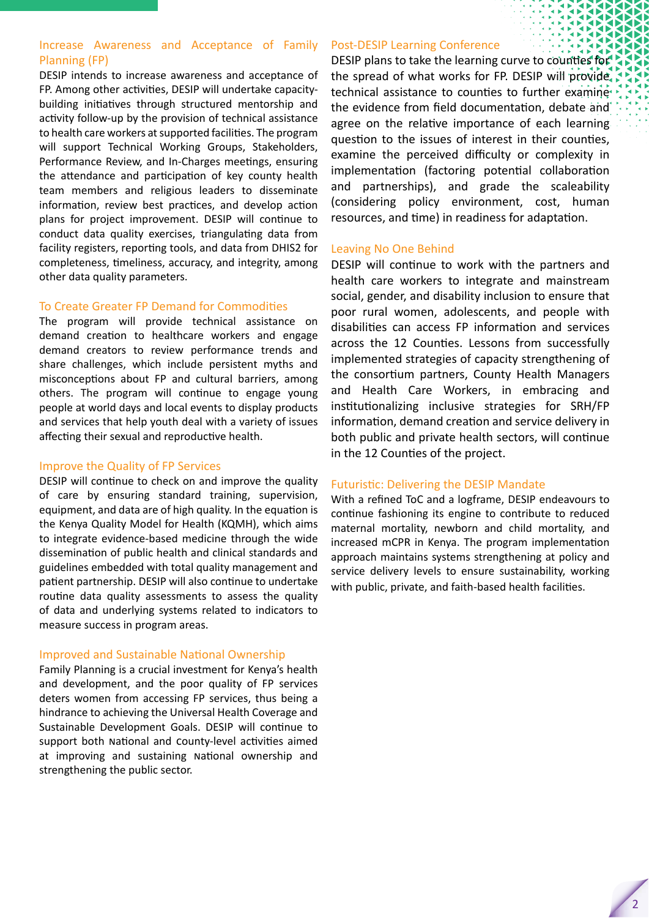#### Increase Awareness and Acceptance of Family Planning (FP)

DESIP intends to increase awareness and acceptance of FP. Among other activities, DESIP will undertake capacitybuilding initiatives through structured mentorship and activity follow-up by the provision of technical assistance to health care workers at supported facilities. The program will support Technical Working Groups, Stakeholders, Performance Review, and In-Charges meetings, ensuring the attendance and participation of key county health team members and religious leaders to disseminate information, review best practices, and develop action plans for project improvement. DESIP will continue to conduct data quality exercises, triangulating data from facility registers, reporting tools, and data from DHIS2 for completeness, timeliness, accuracy, and integrity, among other data quality parameters.

#### To Create Greater FP Demand for Commodities

The program will provide technical assistance on demand creation to healthcare workers and engage demand creators to review performance trends and share challenges, which include persistent myths and misconceptions about FP and cultural barriers, among others. The program will continue to engage young people at world days and local events to display products and services that help youth deal with a variety of issues affecting their sexual and reproductive health.

#### Improve the Quality of FP Services

DESIP will continue to check on and improve the quality of care by ensuring standard training, supervision, equipment, and data are of high quality. In the equation is the Kenya Quality Model for Health (KQMH), which aims to integrate evidence-based medicine through the wide dissemination of public health and clinical standards and guidelines embedded with total quality management and patient partnership. DESIP will also continue to undertake routine data quality assessments to assess the quality of data and underlying systems related to indicators to measure success in program areas.

#### Improved and Sustainable National Ownership

Family Planning is a crucial investment for Kenya's health and development, and the poor quality of FP services deters women from accessing FP services, thus being a hindrance to achieving the Universal Health Coverage and Sustainable Development Goals. DESIP will continue to support both National and County-level activities aimed at improving and sustaining National ownership and strengthening the public sector.

#### Post-DESIP Learning Conference

DESIP plans to take the learning curve to counties for the spread of what works for FP. DESIP will provide technical assistance to counties to further examinethe evidence from field documentation, debate and agree on the relative importance of each learning question to the issues of interest in their counties, examine the perceived difficulty or complexity in implementation (factoring potential collaboration and partnerships), and grade the scaleability (considering policy environment, cost, human resources, and time) in readiness for adaptation.

#### Leaving No One Behind

DESIP will continue to work with the partners and health care workers to integrate and mainstream social, gender, and disability inclusion to ensure that poor rural women, adolescents, and people with disabilities can access FP information and services across the 12 Counties. Lessons from successfully implemented strategies of capacity strengthening of the consortium partners, County Health Managers and Health Care Workers, in embracing and institutionalizing inclusive strategies for SRH/FP information, demand creation and service delivery in both public and private health sectors, will continue in the 12 Counties of the project.

#### Futuristic: Delivering the DESIP Mandate

With a refined ToC and a logframe, DESIP endeavours to continue fashioning its engine to contribute to reduced maternal mortality, newborn and child mortality, and increased mCPR in Kenya. The program implementation approach maintains systems strengthening at policy and service delivery levels to ensure sustainability, working with public, private, and faith-based health facilities.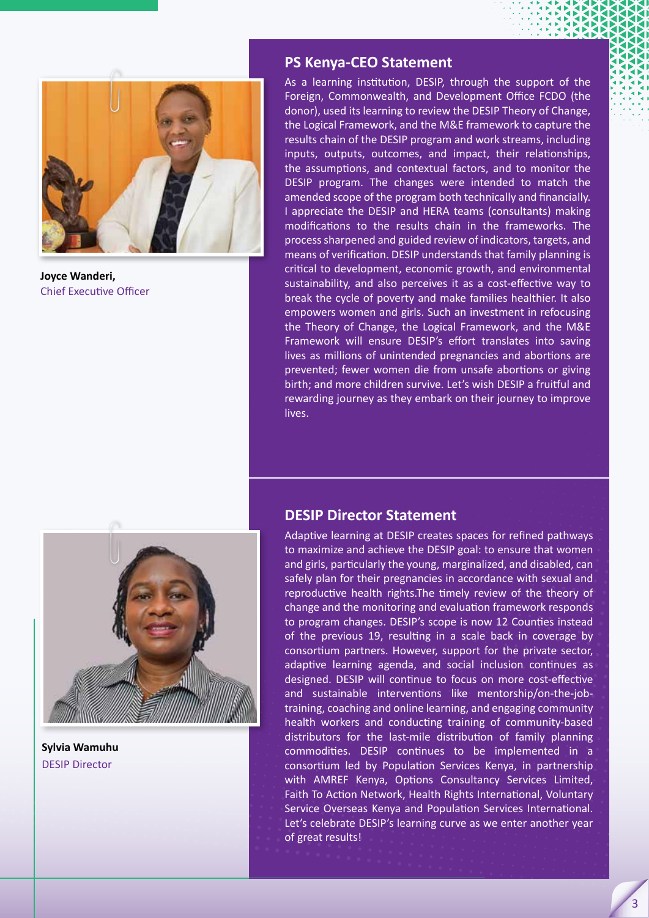

**Joyce Wanderi,** Chief Executive Officer

#### **PS Kenya-CEO Statement**

As a learning institution, DESIP, through the support of the Foreign, Commonwealth, and Development Office FCDO (the donor), used its learning to review the DESIP Theory of Change, the Logical Framework, and the M&E framework to capture the results chain of the DESIP program and work streams, including inputs, outputs, outcomes, and impact, their relationships, the assumptions, and contextual factors, and to monitor the DESIP program. The changes were intended to match the amended scope of the program both technically and financially. I appreciate the DESIP and HERA teams (consultants) making modifications to the results chain in the frameworks. The process sharpened and guided review of indicators, targets, and means of verification. DESIP understands that family planning is critical to development, economic growth, and environmental sustainability, and also perceives it as a cost-effective way to break the cycle of poverty and make families healthier. It also empowers women and girls. Such an investment in refocusing the Theory of Change, the Logical Framework, and the M&E Framework will ensure DESIP's effort translates into saving lives as millions of unintended pregnancies and abortions are prevented; fewer women die from unsafe abortions or giving birth; and more children survive. Let's wish DESIP a fruitful and rewarding journey as they embark on their journey to improve lives.



**Sylvia Wamuhu**  DESIP Director

#### **DESIP Director Statement**

Adaptive learning at DESIP creates spaces for refined pathways to maximize and achieve the DESIP goal: to ensure that women and girls, particularly the young, marginalized, and disabled, can safely plan for their pregnancies in accordance with sexual and reproductive health rights.The timely review of the theory of change and the monitoring and evaluation framework responds to program changes. DESIP's scope is now 12 Counties instead of the previous 19, resulting in a scale back in coverage by consortium partners. However, support for the private sector, adaptive learning agenda, and social inclusion continues as designed. DESIP will continue to focus on more cost-effective and sustainable interventions like mentorship/on-the-jobtraining, coaching and online learning, and engaging community health workers and conducting training of community-based distributors for the last-mile distribution of family planning commodities. DESIP continues to be implemented in a consortium led by Population Services Kenya, in partnership with AMREF Kenya, Options Consultancy Services Limited, Faith To Action Network, Health Rights International, Voluntary Service Overseas Kenya and Population Services International. Let's celebrate DESIP's learning curve as we enter another year of great results!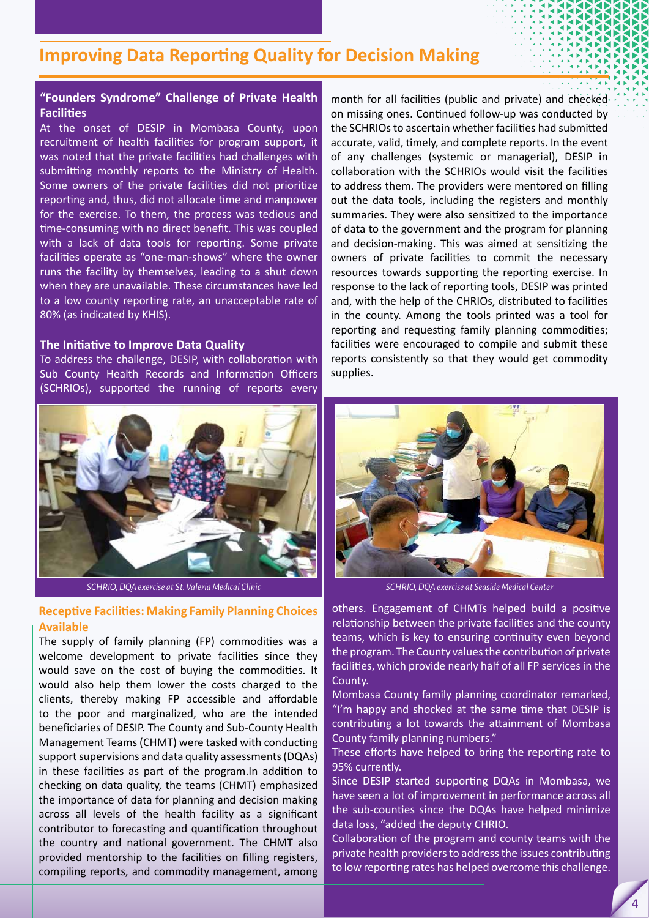# **Improving Data Reporting Quality for Decision Making**

#### **"Founders Syndrome" Challenge of Private Health Facilities**

At the onset of DESIP in Mombasa County, upon recruitment of health facilities for program support, it was noted that the private facilities had challenges with submitting monthly reports to the Ministry of Health. Some owners of the private facilities did not prioritize reporting and, thus, did not allocate time and manpower for the exercise. To them, the process was tedious and time-consuming with no direct benefit. This was coupled with a lack of data tools for reporting. Some private facilities operate as "one-man-shows" where the owner runs the facility by themselves, leading to a shut down when they are unavailable. These circumstances have led to a low county reporting rate, an unacceptable rate of 80% (as indicated by KHIS).

#### **The Initiative to Improve Data Quality**

To address the challenge, DESIP, with collaboration with Sub County Health Records and Information Officers (SCHRIOs), supported the running of reports every



*SCHRIO, DQA exercise at St. Valeria Medical Clinic*

#### **Receptive Facilities: Making Family Planning Choices Available**

The supply of family planning (FP) commodities was a welcome development to private facilities since they would save on the cost of buying the commodities. It would also help them lower the costs charged to the clients, thereby making FP accessible and affordable to the poor and marginalized, who are the intended beneficiaries of DESIP. The County and Sub-County Health Management Teams (CHMT) were tasked with conducting support supervisions and data quality assessments (DQAs) in these facilities as part of the program.In addition to checking on data quality, the teams (CHMT) emphasized the importance of data for planning and decision making across all levels of the health facility as a significant contributor to forecasting and quantification throughout the country and national government. The CHMT also provided mentorship to the facilities on filling registers, compiling reports, and commodity management, among

month for all facilities (public and private) and checked on missing ones. Continued follow-up was conducted by the SCHRIOs to ascertain whether facilities had submitted accurate, valid, timely, and complete reports. In the event of any challenges (systemic or managerial), DESIP in collaboration with the SCHRIOs would visit the facilities to address them. The providers were mentored on filling out the data tools, including the registers and monthly summaries. They were also sensitized to the importance of data to the government and the program for planning and decision-making. This was aimed at sensitizing the owners of private facilities to commit the necessary resources towards supporting the reporting exercise. In response to the lack of reporting tools, DESIP was printed and, with the help of the CHRIOs, distributed to facilities in the county. Among the tools printed was a tool for reporting and requesting family planning commodities; facilities were encouraged to compile and submit these reports consistently so that they would get commodity supplies.



*SCHRIO, DQA exercise at Seaside Medical Center*

others. Engagement of CHMTs helped build a positive relationship between the private facilities and the county teams, which is key to ensuring continuity even beyond the program. The County values the contribution of private facilities, which provide nearly half of all FP services in the County.

Mombasa County family planning coordinator remarked, "I'm happy and shocked at the same time that DESIP is contributing a lot towards the attainment of Mombasa County family planning numbers."

These efforts have helped to bring the reporting rate to 95% currently.

Since DESIP started supporting DQAs in Mombasa, we have seen a lot of improvement in performance across all the sub-counties since the DQAs have helped minimize data loss, "added the deputy CHRIO.

Collaboration of the program and county teams with the private health providers to address the issues contributing to low reporting rates has helped overcome this challenge.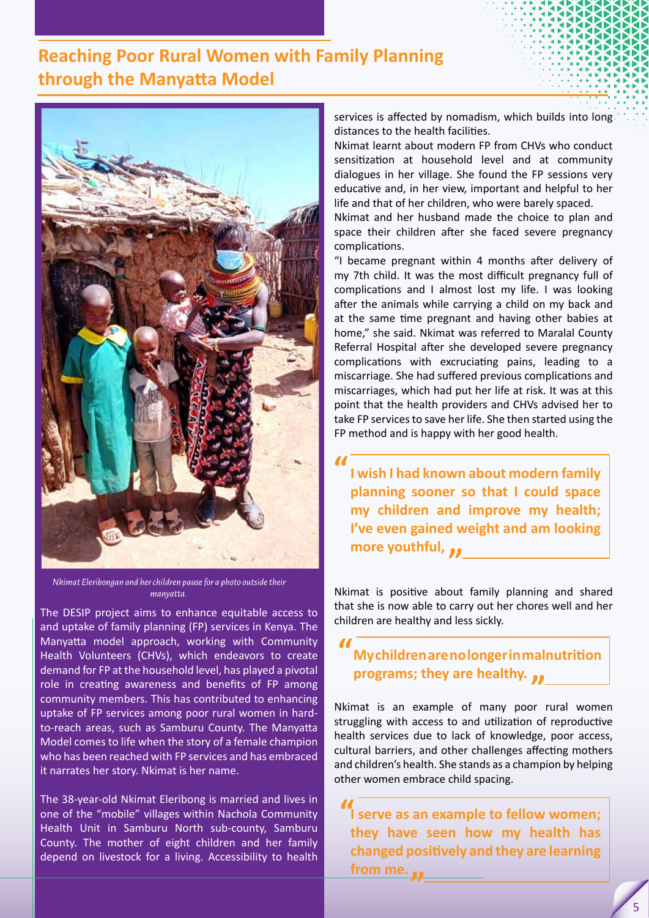# **Reaching Poor Rural Women with Family Planning through the Manyatta Model**



 *Nkimat Eleribongan and her children pause for a photo outside their manyatta.*

The DESIP project aims to enhance equitable access to and uptake of family planning (FP) services in Kenya. The Manyatta model approach, working with Community Health Volunteers (CHVs), which endeavors to create demand for FP at the household level, has played a pivotal role in creating awareness and benefits of FP among community members. This has contributed to enhancing uptake of FP services among poor rural women in hardto-reach areas, such as Samburu County. The Manyatta Model comes to life when the story of a female champion who has been reached with FP services and has embraced it narrates her story. Nkimat is her name.

The 38-year-old Nkimat Eleribong is married and lives in one of the "mobile" villages within Nachola Community Health Unit in Samburu North sub-county, Samburu County. The mother of eight children and her family depend on livestock for a living. Accessibility to health services is affected by nomadism, which builds into long distances to the health facilities.

Nkimat learnt about modern FP from CHVs who conduct sensitization at household level and at community dialogues in her village. She found the FP sessions very educative and, in her view, important and helpful to her life and that of her children, who were barely spaced.

Nkimat and her husband made the choice to plan and space their children after she faced severe pregnancy complications.

"I became pregnant within 4 months after delivery of my 7th child. It was the most difficult pregnancy full of complications and I almost lost my life. I was looking after the animals while carrying a child on my back and at the same time pregnant and having other babies at home," she said. Nkimat was referred to Maralal County Referral Hospital after she developed severe pregnancy complications with excruciating pains, leading to a miscarriage. She had suffered previous complications and miscarriages, which had put her life at risk. It was at this point that the health providers and CHVs advised her to take FP services to save her life. She then started using the FP method and is happy with her good health.

**I wish I had known about modern family planning sooner so that I could space my children and improve my health; I've even gained weight and am looking more youthful, " "**

Nkimat is positive about family planning and shared that she is now able to carry out her chores well and her children are healthy and less sickly.

# **My children are no longer in malnutrition programs; they are healthy.**<br>matrix an example of many poor **"**

Nkimat is an example of many poor rural women struggling with access to and utilization of reproductive health services due to lack of knowledge, poor access, cultural barriers, and other challenges affecting mothers and children's health. She stands as a champion by helping other women embrace child spacing.

**If** serve as an example to fellow women;<br> **These have ease how my hardth** has **they have seen how my health has changed positively and they are learning from me. "**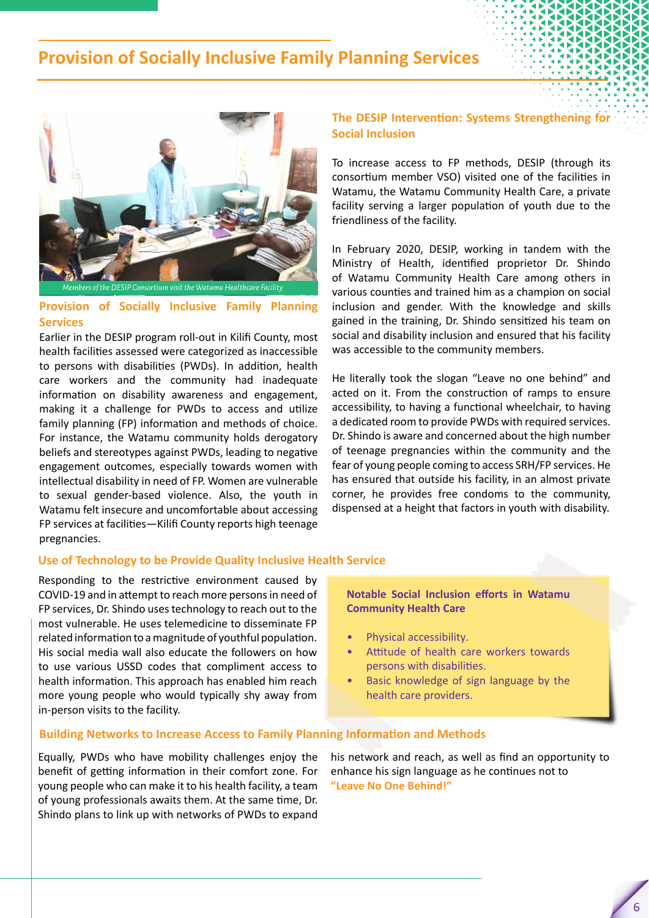## **Provision of Socially Inclusive Family Planning Services**



#### **Provision of Socially Inclusive Family Planning Services**

Earlier in the DESIP program roll-out in Kilifi County, most health facilities assessed were categorized as inaccessible to persons with disabilities (PWDs). In addition, health care workers and the community had inadequate information on disability awareness and engagement, making it a challenge for PWDs to access and utilize family planning (FP) information and methods of choice. For instance, the Watamu community holds derogatory beliefs and stereotypes against PWDs, leading to negative engagement outcomes, especially towards women with intellectual disability in need of FP. Women are vulnerable to sexual gender-based violence. Also, the youth in Watamu felt insecure and uncomfortable about accessing FP services at facilities—Kilifi County reports high teenage pregnancies.

#### **The DESIP Intervention: Systems Strengthening for Social Inclusion**

To increase access to FP methods, DESIP (through its consortium member VSO) visited one of the facilities in Watamu, the Watamu Community Health Care, a private facility serving a larger population of youth due to the friendliness of the facility.

In February 2020, DESIP, working in tandem with the Ministry of Health, identified proprietor Dr. Shindo of Watamu Community Health Care among others in various counties and trained him as a champion on social inclusion and gender. With the knowledge and skills gained in the training, Dr. Shindo sensitized his team on social and disability inclusion and ensured that his facility was accessible to the community members.

He literally took the slogan "Leave no one behind" and acted on it. From the construction of ramps to ensure accessibility, to having a functional wheelchair, to having a dedicated room to provide PWDs with required services. Dr. Shindo is aware and concerned about the high number of teenage pregnancies within the community and the fear of young people coming to access SRH/FP services. He has ensured that outside his facility, in an almost private corner, he provides free condoms to the community, dispensed at a height that factors in youth with disability.

#### **Use of Technology to be Provide Quality Inclusive Health Service**

Responding to the restrictive environment caused by COVID-19 and in attempt to reach more persons in need of FP services, Dr. Shindo uses technology to reach out to the most vulnerable. He uses telemedicine to disseminate FP related information to a magnitude of youthful population. His social media wall also educate the followers on how to use various USSD codes that compliment access to health information. This approach has enabled him reach more young people who would typically shy away from in-person visits to the facility.

#### **Notable Social Inclusion efforts in Watamu Community Health Care**

- Physical accessibility.
- Attitude of health care workers towards persons with disabilities.
- Basic knowledge of sign language by the health care providers.

#### **Building Networks to Increase Access to Family Planning Information and Methods**

Equally, PWDs who have mobility challenges enjoy the benefit of getting information in their comfort zone. For young people who can make it to his health facility, a team of young professionals awaits them. At the same time, Dr. Shindo plans to link up with networks of PWDs to expand

his network and reach, as well as find an opportunity to enhance his sign language as he continues not to **"Leave No One Behind!"**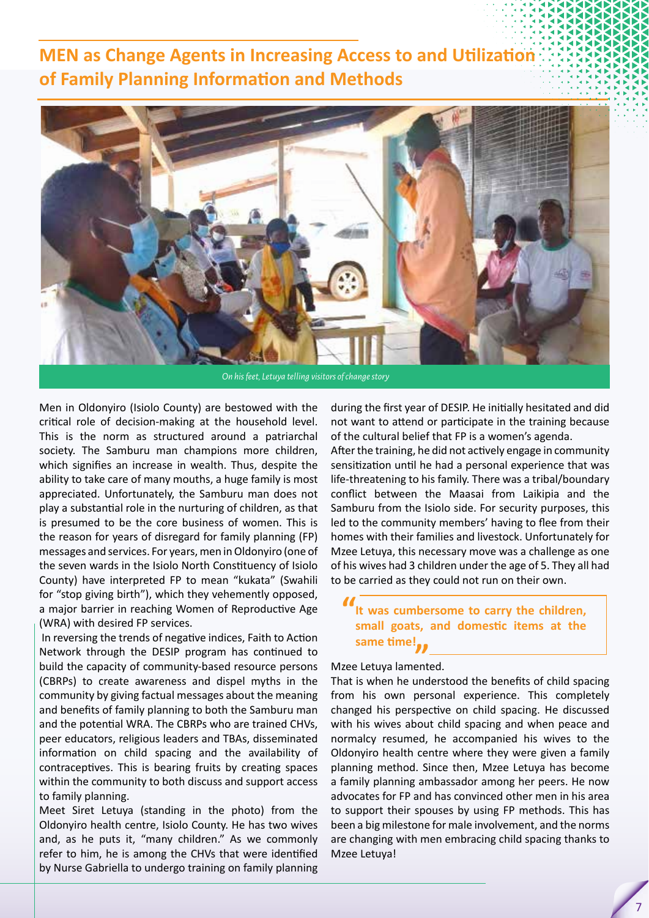# **MEN as Change Agents in Increasing Access to and Utilization of Family Planning Information and Methods**



Men in Oldonyiro (Isiolo County) are bestowed with the critical role of decision-making at the household level. This is the norm as structured around a patriarchal society. The Samburu man champions more children, which signifies an increase in wealth. Thus, despite the ability to take care of many mouths, a huge family is most appreciated. Unfortunately, the Samburu man does not play a substantial role in the nurturing of children, as that is presumed to be the core business of women. This is the reason for years of disregard for family planning (FP) messages and services. For years, men in Oldonyiro (one of the seven wards in the Isiolo North Constituency of Isiolo County) have interpreted FP to mean "kukata" (Swahili for "stop giving birth"), which they vehemently opposed, a major barrier in reaching Women of Reproductive Age (WRA) with desired FP services.

 In reversing the trends of negative indices, Faith to Action Network through the DESIP program has continued to build the capacity of community-based resource persons (CBRPs) to create awareness and dispel myths in the community by giving factual messages about the meaning and benefits of family planning to both the Samburu man and the potential WRA. The CBRPs who are trained CHVs, peer educators, religious leaders and TBAs, disseminated information on child spacing and the availability of contraceptives. This is bearing fruits by creating spaces within the community to both discuss and support access to family planning.

Meet Siret Letuya (standing in the photo) from the Oldonyiro health centre, Isiolo County. He has two wives and, as he puts it, "many children." As we commonly refer to him, he is among the CHVs that were identified by Nurse Gabriella to undergo training on family planning

during the first year of DESIP. He initially hesitated and did not want to attend or participate in the training because of the cultural belief that FP is a women's agenda.

After the training, he did not actively engage in community sensitization until he had a personal experience that was life-threatening to his family. There was a tribal/boundary conflict between the Maasai from Laikipia and the Samburu from the Isiolo side. For security purposes, this led to the community members' having to flee from their homes with their families and livestock. Unfortunately for Mzee Letuya, this necessary move was a challenge as one of his wives had 3 children under the age of 5. They all had to be carried as they could not run on their own.

# Mzee Letuya lamented. **same time!""It was cumbersome to carry the children, small goats, and domestic items at the**

That is when he understood the benefits of child spacing from his own personal experience. This completely changed his perspective on child spacing. He discussed with his wives about child spacing and when peace and normalcy resumed, he accompanied his wives to the Oldonyiro health centre where they were given a family planning method. Since then, Mzee Letuya has become a family planning ambassador among her peers. He now advocates for FP and has convinced other men in his area to support their spouses by using FP methods. This has been a big milestone for male involvement, and the norms are changing with men embracing child spacing thanks to Mzee Letuya!